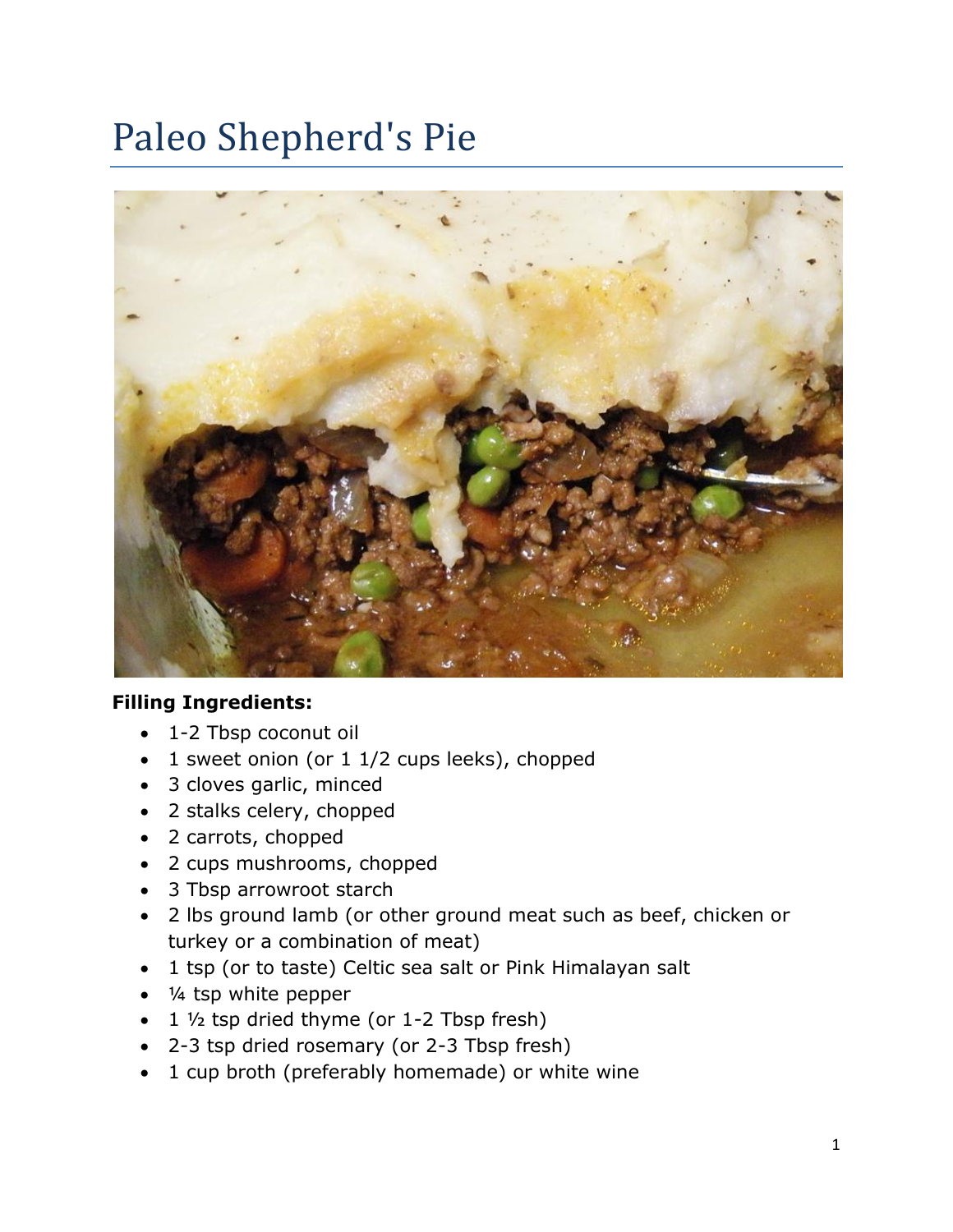## Paleo Shepherd's Pie



## **Filling Ingredients:**

- 1-2 Tbsp coconut oil
- 1 sweet onion (or 1 1/2 cups leeks), chopped
- 3 cloves garlic, minced
- 2 stalks celery, chopped
- 2 carrots, chopped
- 2 cups mushrooms, chopped
- 3 Tbsp arrowroot starch
- 2 lbs ground lamb (or other ground meat such as beef, chicken or turkey or a combination of meat)
- 1 tsp (or to taste) Celtic sea salt or Pink Himalayan salt
- $\bullet$   $\frac{1}{4}$  tsp white pepper
- $\bullet$  1  $\frac{1}{2}$  tsp dried thyme (or 1-2 Tbsp fresh)
- 2-3 tsp dried rosemary (or 2-3 Tbsp fresh)
- 1 cup broth (preferably homemade) or white wine